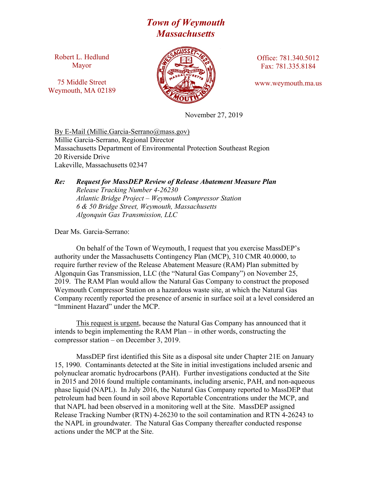## *Town of Weymouth Massachusetts*

Robert L. Hedlund Mayor

75 Middle Street Weymouth, MA 02189



Office: 781.340.5012 Fax: 781.335.8184

www.weymouth.ma.us

November 27, 2019

By E-Mail (Millie.Garcia-Serrano@mass.gov) Millie Garcia-Serrano, Regional Director Massachusetts Department of Environmental Protection Southeast Region 20 Riverside Drive Lakeville, Massachusetts 02347

## *Re: Request for MassDEP Review of Release Abatement Measure Plan Release Tracking Number 4-26230 Atlantic Bridge Project – Weymouth Compressor Station 6 & 50 Bridge Street, Weymouth, Massachusetts Algonquin Gas Transmission, LLC*

Dear Ms. Garcia-Serrano:

On behalf of the Town of Weymouth, I request that you exercise MassDEP's authority under the Massachusetts Contingency Plan (MCP), 310 CMR 40.0000, to require further review of the Release Abatement Measure (RAM) Plan submitted by Algonquin Gas Transmission, LLC (the "Natural Gas Company") on November 25, 2019. The RAM Plan would allow the Natural Gas Company to construct the proposed Weymouth Compressor Station on a hazardous waste site, at which the Natural Gas Company recently reported the presence of arsenic in surface soil at a level considered an "Imminent Hazard" under the MCP.

This request is urgent, because the Natural Gas Company has announced that it intends to begin implementing the RAM Plan – in other words, constructing the compressor station – on December 3, 2019.

MassDEP first identified this Site as a disposal site under Chapter 21E on January 15, 1990. Contaminants detected at the Site in initial investigations included arsenic and polynuclear aromatic hydrocarbons (PAH). Further investigations conducted at the Site in 2015 and 2016 found multiple contaminants, including arsenic, PAH, and non-aqueous phase liquid (NAPL). In July 2016, the Natural Gas Company reported to MassDEP that petroleum had been found in soil above Reportable Concentrations under the MCP, and that NAPL had been observed in a monitoring well at the Site. MassDEP assigned Release Tracking Number (RTN) 4-26230 to the soil contamination and RTN 4-26243 to the NAPL in groundwater. The Natural Gas Company thereafter conducted response actions under the MCP at the Site.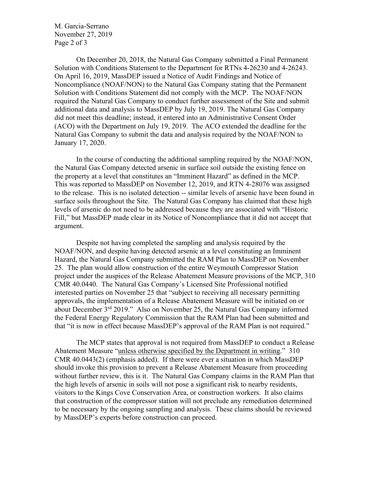M. Garcia-Serrano November 27, 2019 Page 2 of 3

On December 20, 2018, the Natural Gas Company submitted a Final Permanent Solution with Conditions Statement to the Department for RTNs 4-26230 and 4-26243. On April 16, 2019, MassDEP issued a Notice of Audit Findings and Notice of Noncompliance (NOAF/NON) to the Natural Gas Company stating that the Permanent Solution with Conditions Statement did not comply with the MCP. The NOAF/NON required the Natural Gas Company to conduct further assessment of the Site and submit additional data and analysis to MassDEP by July 19, 2019. The Natural Gas Company did not meet this deadline; instead, it entered into an Administrative Consent Order (ACO) with the Department on July 19, 2019. The ACO extended the deadline for the Natural Gas Company to submit the data and analysis required by the NOAF/NON to January 17, 2020.

In the course of conducting the additional sampling required by the NOAF/NON, the Natural Gas Company detected arsenic in surface soil outside the existing fence on the property at a level that constitutes an "Imminent Hazard" as defined in the MCP. This was reported to MassDEP on November 12, 2019, and RTN 4-28076 was assigned to the release. This is no isolated detection -- similar levels of arsenic have been found in surface soils throughout the Site. The Natural Gas Company has claimed that these high levels of arsenic do not need to be addressed because they are associated with "Historic Fill," but MassDEP made clear in its Notice of Noncompliance that it did not accept that argument.

Despite not having completed the sampling and analysis required by the NOAF/NON, and despite having detected arsenic at a level constituting an Imminent Hazard, the Natural Gas Company submitted the RAM Plan to MassDEP on November 25. The plan would allow construction of the entire Weymouth Compressor Station project under the auspices of the Release Abatement Measure provisions of the MCP, 310 CMR 40.0440. The Natural Gas Company's Licensed Site Professional notified interested parties on November 25 that "subject to receiving all necessary permitting approvals, the implementation of a Release Abatement Measure will be initiated on or about December 3rd 2019." Also on November 25, the Natural Gas Company informed the Federal Energy Regulatory Commission that the RAM Plan had been submitted and that "it is now in effect because MassDEP's approval of the RAM Plan is not required."

The MCP states that approval is not required from MassDEP to conduct a Release Abatement Measure "unless otherwise specified by the Department in writing." 310 CMR 40.0443(2) (emphasis added). If there were ever a situation in which MassDEP should invoke this provision to prevent a Release Abatement Measure from proceeding without further review, this is it. The Natural Gas Company claims in the RAM Plan that the high levels of arsenic in soils will not pose a significant risk to nearby residents, visitors to the Kings Cove Conservation Area, or construction workers. It also claims that construction of the compressor station will not preclude any remediation determined to be necessary by the ongoing sampling and analysis. These claims should be reviewed by MassDEP's experts before construction can proceed.